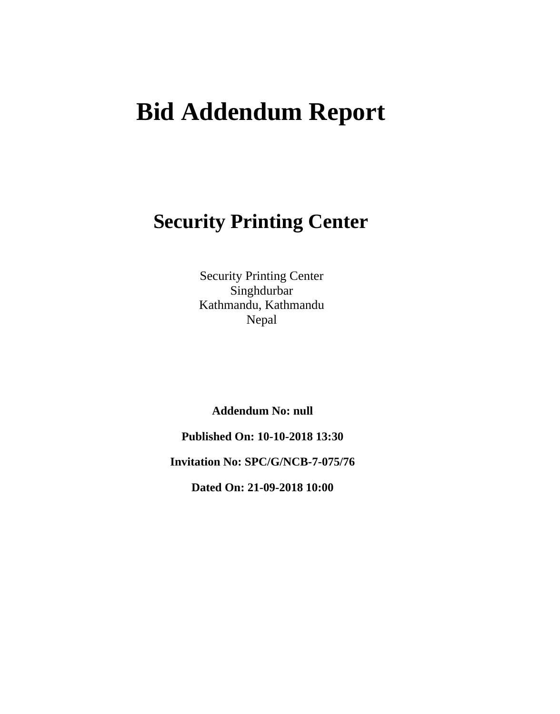# **Bid Addendum Report**

## **Security Printing Center**

Security Printing Center Singhdurbar Kathmandu, Kathmandu Nepal

**Addendum No: null**

**Published On: 10-10-2018 13:30**

**Invitation No: SPC/G/NCB-7-075/76**

**Dated On: 21-09-2018 10:00**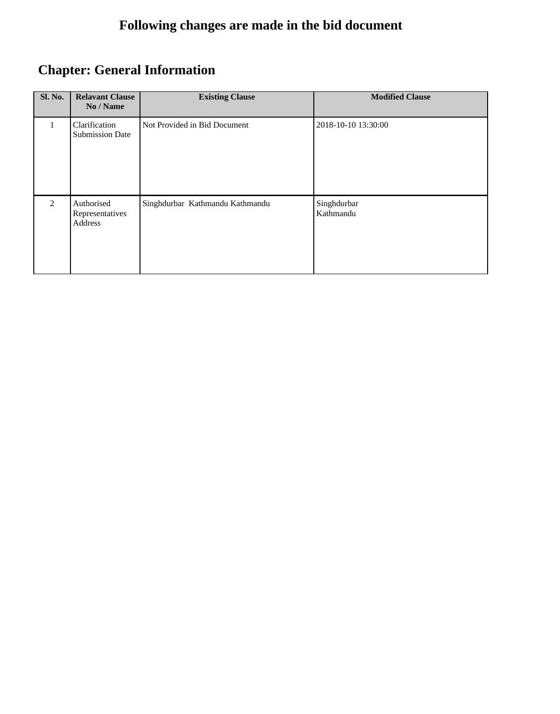### **Chapter: General Information**

| Sl. No.        | <b>Relavant Clause</b><br>No / Name      | <b>Existing Clause</b>          | <b>Modified Clause</b>   |
|----------------|------------------------------------------|---------------------------------|--------------------------|
|                | Clarification<br><b>Submission Date</b>  | Not Provided in Bid Document    | 2018-10-10 13:30:00      |
| $\mathfrak{D}$ | Authorised<br>Representatives<br>Address | Singhdurbar Kathmandu Kathmandu | Singhdurbar<br>Kathmandu |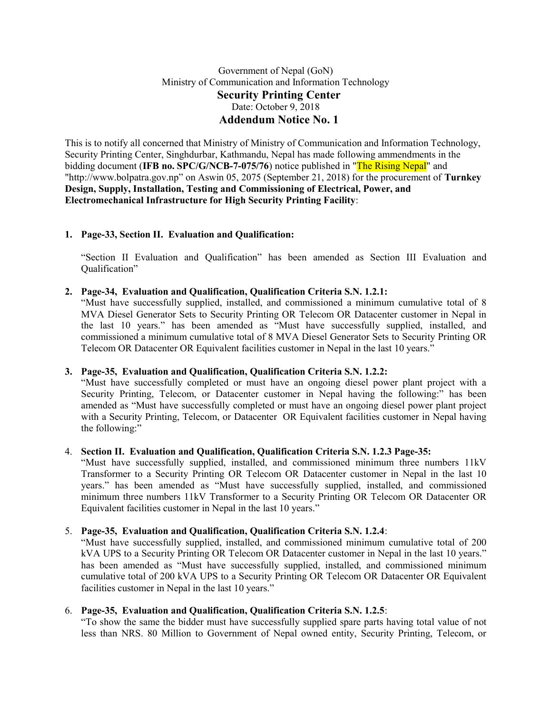#### Government of Nepal (GoN) Ministry of Communication and Information Technology Security Printing Center Date: October 9, 2018 Addendum Notice No. 1

This is to notify all concerned that Ministry of Ministry of Communication and Information Technology, Security Printing Center, Singhdurbar, Kathmandu, Nepal has made following ammendments in the bidding document (IFB no. SPC/G/NCB-7-075/76) notice published in "The Rising Nepal" and "http://www.bolpatra.gov.np" on Aswin 05, 2075 (September 21, 2018) for the procurement of Turnkey Design, Supply, Installation, Testing and Commissioning of Electrical, Power, and Electromechanical Infrastructure for High Security Printing Facility:

#### 1. Page-33, Section II. Evaluation and Qualification:

"Section II Evaluation and Qualification" has been amended as Section III Evaluation and Qualification"

2. Page-34, Evaluation and Qualification, Qualification Criteria S.N. 1.2.1:

"Must have successfully supplied, installed, and commissioned a minimum cumulative total of 8 MVA Diesel Generator Sets to Security Printing OR Telecom OR Datacenter customer in Nepal in the last 10 years." has been amended as "Must have successfully supplied, installed, and commissioned a minimum cumulative total of 8 MVA Diesel Generator Sets to Security Printing OR Telecom OR Datacenter OR Equivalent facilities customer in Nepal in the last 10 years."

#### 3. Page-35, Evaluation and Qualification, Qualification Criteria S.N. 1.2.2:

"Must have successfully completed or must have an ongoing diesel power plant project with a Security Printing, Telecom, or Datacenter customer in Nepal having the following:" has been amended as "Must have successfully completed or must have an ongoing diesel power plant project with a Security Printing, Telecom, or Datacenter OR Equivalent facilities customer in Nepal having the following:"

#### 4. Section II. Evaluation and Qualification, Qualification Criteria S.N. 1.2.3 Page-35:

"Must have successfully supplied, installed, and commissioned minimum three numbers 11kV Transformer to a Security Printing OR Telecom OR Datacenter customer in Nepal in the last 10 years." has been amended as "Must have successfully supplied, installed, and commissioned minimum three numbers 11kV Transformer to a Security Printing OR Telecom OR Datacenter OR Equivalent facilities customer in Nepal in the last 10 years."

#### 5. Page-35, Evaluation and Qualification, Qualification Criteria S.N. 1.2.4:

"Must have successfully supplied, installed, and commissioned minimum cumulative total of 200 kVA UPS to a Security Printing OR Telecom OR Datacenter customer in Nepal in the last 10 years." has been amended as "Must have successfully supplied, installed, and commissioned minimum cumulative total of 200 kVA UPS to a Security Printing OR Telecom OR Datacenter OR Equivalent facilities customer in Nepal in the last 10 years."

#### 6. Page-35, Evaluation and Qualification, Qualification Criteria S.N. 1.2.5:

"To show the same the bidder must have successfully supplied spare parts having total value of not less than NRS. 80 Million to Government of Nepal owned entity, Security Printing, Telecom, or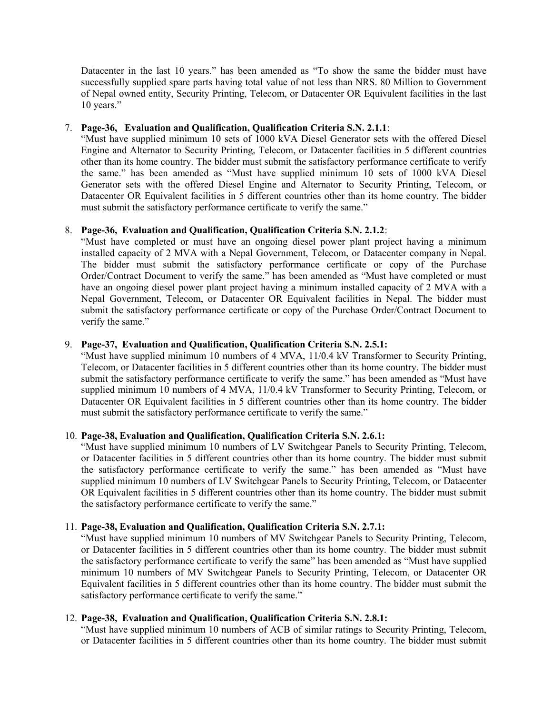Datacenter in the last 10 years." has been amended as "To show the same the bidder must have successfully supplied spare parts having total value of not less than NRS. 80 Million to Government of Nepal owned entity, Security Printing, Telecom, or Datacenter OR Equivalent facilities in the last 10 years."

#### 7. Page-36, Evaluation and Qualification, Qualification Criteria S.N. 2.1.1:

"Must have supplied minimum 10 sets of 1000 kVA Diesel Generator sets with the offered Diesel Engine and Alternator to Security Printing, Telecom, or Datacenter facilities in 5 different countries other than its home country. The bidder must submit the satisfactory performance certificate to verify the same." has been amended as "Must have supplied minimum 10 sets of 1000 kVA Diesel Generator sets with the offered Diesel Engine and Alternator to Security Printing, Telecom, or Datacenter OR Equivalent facilities in 5 different countries other than its home country. The bidder must submit the satisfactory performance certificate to verify the same."

#### 8. Page-36, Evaluation and Qualification, Qualification Criteria S.N. 2.1.2:

"Must have completed or must have an ongoing diesel power plant project having a minimum installed capacity of 2 MVA with a Nepal Government, Telecom, or Datacenter company in Nepal. The bidder must submit the satisfactory performance certificate or copy of the Purchase Order/Contract Document to verify the same." has been amended as "Must have completed or must have an ongoing diesel power plant project having a minimum installed capacity of 2 MVA with a Nepal Government, Telecom, or Datacenter OR Equivalent facilities in Nepal. The bidder must submit the satisfactory performance certificate or copy of the Purchase Order/Contract Document to verify the same."

#### 9. Page-37, Evaluation and Qualification, Qualification Criteria S.N. 2.5.1:

"Must have supplied minimum 10 numbers of 4 MVA, 11/0.4 kV Transformer to Security Printing, Telecom, or Datacenter facilities in 5 different countries other than its home country. The bidder must submit the satisfactory performance certificate to verify the same." has been amended as "Must have supplied minimum 10 numbers of 4 MVA, 11/0.4 kV Transformer to Security Printing, Telecom, or Datacenter OR Equivalent facilities in 5 different countries other than its home country. The bidder must submit the satisfactory performance certificate to verify the same."

#### 10. Page-38, Evaluation and Qualification, Qualification Criteria S.N. 2.6.1:

"Must have supplied minimum 10 numbers of LV Switchgear Panels to Security Printing, Telecom, or Datacenter facilities in 5 different countries other than its home country. The bidder must submit the satisfactory performance certificate to verify the same." has been amended as "Must have supplied minimum 10 numbers of LV Switchgear Panels to Security Printing, Telecom, or Datacenter OR Equivalent facilities in 5 different countries other than its home country. The bidder must submit the satisfactory performance certificate to verify the same."

#### 11. Page-38, Evaluation and Qualification, Qualification Criteria S.N. 2.7.1:

"Must have supplied minimum 10 numbers of MV Switchgear Panels to Security Printing, Telecom, or Datacenter facilities in 5 different countries other than its home country. The bidder must submit the satisfactory performance certificate to verify the same" has been amended as "Must have supplied minimum 10 numbers of MV Switchgear Panels to Security Printing, Telecom, or Datacenter OR Equivalent facilities in 5 different countries other than its home country. The bidder must submit the satisfactory performance certificate to verify the same."

#### 12. Page-38, Evaluation and Qualification, Qualification Criteria S.N. 2.8.1:

"Must have supplied minimum 10 numbers of ACB of similar ratings to Security Printing, Telecom, or Datacenter facilities in 5 different countries other than its home country. The bidder must submit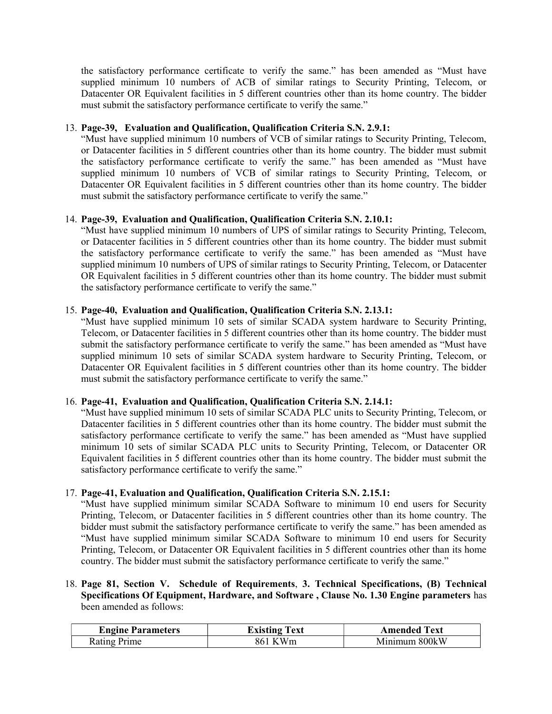the satisfactory performance certificate to verify the same." has been amended as "Must have supplied minimum 10 numbers of ACB of similar ratings to Security Printing, Telecom, or Datacenter OR Equivalent facilities in 5 different countries other than its home country. The bidder must submit the satisfactory performance certificate to verify the same."

#### 13. Page-39, Evaluation and Qualification, Qualification Criteria S.N. 2.9.1:

"Must have supplied minimum 10 numbers of VCB of similar ratings to Security Printing, Telecom, or Datacenter facilities in 5 different countries other than its home country. The bidder must submit the satisfactory performance certificate to verify the same." has been amended as "Must have supplied minimum 10 numbers of VCB of similar ratings to Security Printing, Telecom, or Datacenter OR Equivalent facilities in 5 different countries other than its home country. The bidder must submit the satisfactory performance certificate to verify the same."

#### 14. Page-39, Evaluation and Qualification, Qualification Criteria S.N. 2.10.1:

"Must have supplied minimum 10 numbers of UPS of similar ratings to Security Printing, Telecom, or Datacenter facilities in 5 different countries other than its home country. The bidder must submit the satisfactory performance certificate to verify the same." has been amended as "Must have supplied minimum 10 numbers of UPS of similar ratings to Security Printing, Telecom, or Datacenter OR Equivalent facilities in 5 different countries other than its home country. The bidder must submit the satisfactory performance certificate to verify the same."

#### 15. Page-40, Evaluation and Qualification, Qualification Criteria S.N. 2.13.1:

"Must have supplied minimum 10 sets of similar SCADA system hardware to Security Printing, Telecom, or Datacenter facilities in 5 different countries other than its home country. The bidder must submit the satisfactory performance certificate to verify the same." has been amended as "Must have supplied minimum 10 sets of similar SCADA system hardware to Security Printing, Telecom, or Datacenter OR Equivalent facilities in 5 different countries other than its home country. The bidder must submit the satisfactory performance certificate to verify the same."

#### 16. Page-41, Evaluation and Qualification, Qualification Criteria S.N. 2.14.1:

"Must have supplied minimum 10 sets of similar SCADA PLC units to Security Printing, Telecom, or Datacenter facilities in 5 different countries other than its home country. The bidder must submit the satisfactory performance certificate to verify the same." has been amended as "Must have supplied minimum 10 sets of similar SCADA PLC units to Security Printing, Telecom, or Datacenter OR Equivalent facilities in 5 different countries other than its home country. The bidder must submit the satisfactory performance certificate to verify the same."

#### 17. Page-41, Evaluation and Qualification, Qualification Criteria S.N. 2.15.1:

"Must have supplied minimum similar SCADA Software to minimum 10 end users for Security Printing, Telecom, or Datacenter facilities in 5 different countries other than its home country. The bidder must submit the satisfactory performance certificate to verify the same." has been amended as "Must have supplied minimum similar SCADA Software to minimum 10 end users for Security Printing, Telecom, or Datacenter OR Equivalent facilities in 5 different countries other than its home country. The bidder must submit the satisfactory performance certificate to verify the same."

#### 18. Page 81, Section V. Schedule of Requirements, 3. Technical Specifications, (B) Technical Specifications Of Equipment, Hardware, and Software , Clause No. 1.30 Engine parameters has been amended as follows:

| <b>Engine Parameters</b> | <b>Existing Text</b> | <b>Amended Text</b> |
|--------------------------|----------------------|---------------------|
| Rating Prime             | 861 KWm              | Minimum 800kW       |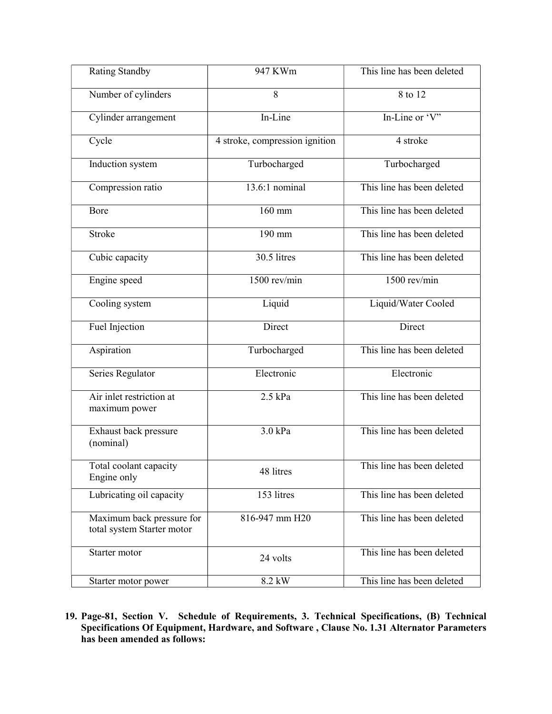| Rating Standby                                          | 947 KWm                        | This line has been deleted |
|---------------------------------------------------------|--------------------------------|----------------------------|
|                                                         |                                |                            |
| Number of cylinders                                     | 8                              | 8 to 12                    |
| Cylinder arrangement                                    | In-Line                        | In-Line or 'V"             |
| Cycle                                                   | 4 stroke, compression ignition | 4 stroke                   |
| Induction system                                        | Turbocharged                   | Turbocharged               |
| Compression ratio                                       | $13.6:1$ nominal               | This line has been deleted |
| Bore                                                    | 160 mm                         | This line has been deleted |
| <b>Stroke</b>                                           | 190 mm                         | This line has been deleted |
| Cubic capacity                                          | 30.5 litres                    | This line has been deleted |
| Engine speed                                            | 1500 rev/min                   | 1500 rev/min               |
| Cooling system                                          | Liquid                         | Liquid/Water Cooled        |
| Fuel Injection                                          | Direct                         | Direct                     |
| Aspiration                                              | Turbocharged                   | This line has been deleted |
| Series Regulator                                        | Electronic                     | Electronic                 |
| Air inlet restriction at<br>maximum power               | $2.5$ kPa                      | This line has been deleted |
| Exhaust back pressure<br>(nominal)                      | 3.0 kPa                        | This line has been deleted |
| Total coolant capacity<br>Engine only                   | 48 litres                      | This line has been deleted |
| Lubricating oil capacity                                | 153 litres                     | This line has been deleted |
| Maximum back pressure for<br>total system Starter motor | 816-947 mm H20                 | This line has been deleted |
| Starter motor                                           | 24 volts                       | This line has been deleted |
| Starter motor power                                     | 8.2 kW                         | This line has been deleted |

19. Page-81, Section V. Schedule of Requirements, 3. Technical Specifications, (B) Technical Specifications Of Equipment, Hardware, and Software , Clause No. 1.31 Alternator Parameters has been amended as follows: